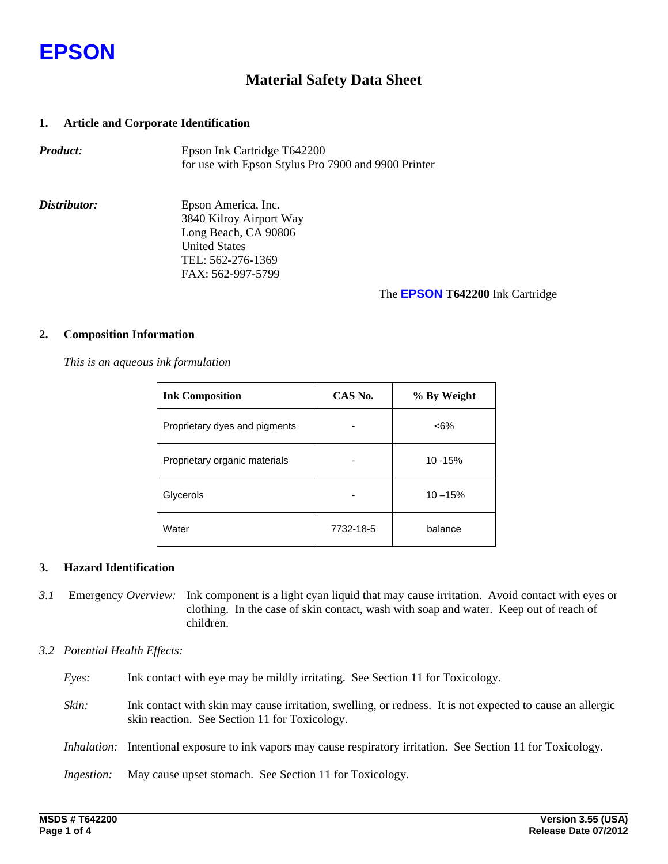

## **Material Safety Data Sheet**

## **1. Article and Corporate Identification**

| Product: | Epson Ink Cartridge T642200                         |
|----------|-----------------------------------------------------|
|          | for use with Epson Stylus Pro 7900 and 9900 Printer |

*Distributor:* Epson America, Inc. 3840 Kilroy Airport Way Long Beach, CA 90806 United States TEL: 562-276-1369 FAX: 562-997-5799

### The **EPSON T642200** Ink Cartridge

### **2. Composition Information**

 *This is an aqueous ink formulation* 

| <b>Ink Composition</b>        | CAS No.   | % By Weight |  |
|-------------------------------|-----------|-------------|--|
| Proprietary dyes and pigments |           | $<6\%$      |  |
| Proprietary organic materials | 10 - 15%  |             |  |
| Glycerols                     |           | $10 - 15%$  |  |
| Water                         | 7732-18-5 | balance     |  |

## **3. Hazard Identification**

*3.1* Emergency *Overview:* Ink component is a light cyan liquid that may cause irritation. Avoid contact with eyes or clothing. In the case of skin contact, wash with soap and water. Keep out of reach of children.

## *3.2 Potential Health Effects:*

- *Eyes:* Ink contact with eye may be mildly irritating. See Section 11 for Toxicology.
- *Skin:* Ink contact with skin may cause irritation, swelling, or redness. It is not expected to cause an allergic skin reaction. See Section 11 for Toxicology.
- *Inhalation:* Intentional exposure to ink vapors may cause respiratory irritation. See Section 11 for Toxicology*.*

*Ingestion:* May cause upset stomach. See Section 11 for Toxicology*.*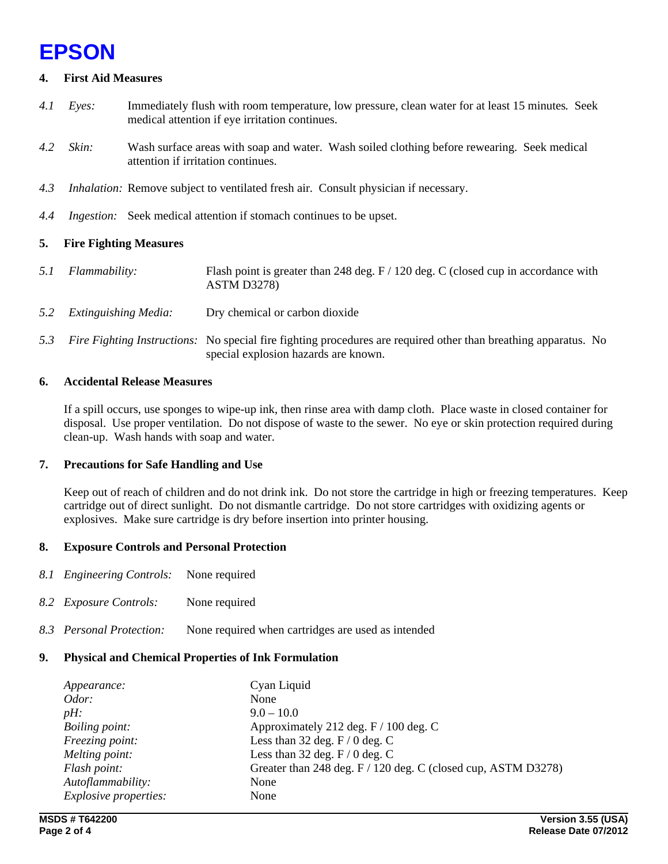## **EPSON**

## **4. First Aid Measures**

- *4.1 Eyes:* Immediately flush with room temperature, low pressure, clean water for at least 15 minutes*.* Seek medical attention if eye irritation continues.
- *4.2 Skin:* Wash surface areas with soap and water. Wash soiled clothing before rewearing. Seek medical attention if irritation continues.
- *4.3 Inhalation:* Remove subject to ventilated fresh air. Consult physician if necessary.
- *4.4 Ingestion:* Seek medical attention if stomach continues to be upset.

## **5. Fire Fighting Measures**

- *5.1 Flammability:* Flash point is greater than 248 deg. F / 120 deg. C (closed cup in accordance with ASTM D3278)
- *5.2 Extinguishing Media:* Dry chemical or carbon dioxide
- *5.3 Fire Fighting Instructions:* No special fire fighting procedures are required other than breathing apparatus. No special explosion hazards are known.

## **6. Accidental Release Measures**

If a spill occurs, use sponges to wipe-up ink, then rinse area with damp cloth. Place waste in closed container for disposal. Use proper ventilation. Do not dispose of waste to the sewer. No eye or skin protection required during clean-up. Wash hands with soap and water.

## **7. Precautions for Safe Handling and Use**

Keep out of reach of children and do not drink ink. Do not store the cartridge in high or freezing temperatures. Keep cartridge out of direct sunlight. Do not dismantle cartridge. Do not store cartridges with oxidizing agents or explosives. Make sure cartridge is dry before insertion into printer housing.

## **8. Exposure Controls and Personal Protection**

- *8.1 Engineering Controls:* None required
- *8.2 Exposure Controls:* None required
- *8.3 Personal Protection:* None required when cartridges are used as intended

## **9. Physical and Chemical Properties of Ink Formulation**

| Appearance:                  | Cyan Liquid                                                   |
|------------------------------|---------------------------------------------------------------|
| Odor:                        | None                                                          |
| $pH$ :                       | $9.0 - 10.0$                                                  |
| Boiling point:               | Approximately 212 deg. F / 100 deg. C                         |
| Freezing point:              | Less than 32 deg. $F/0$ deg. C                                |
| Melting point:               | Less than 32 deg. $F / 0$ deg. C                              |
| Flash point:                 | Greater than 248 deg. F / 120 deg. C (closed cup, ASTM D3278) |
| Autoflammability:            | None                                                          |
| <i>Explosive properties:</i> | None                                                          |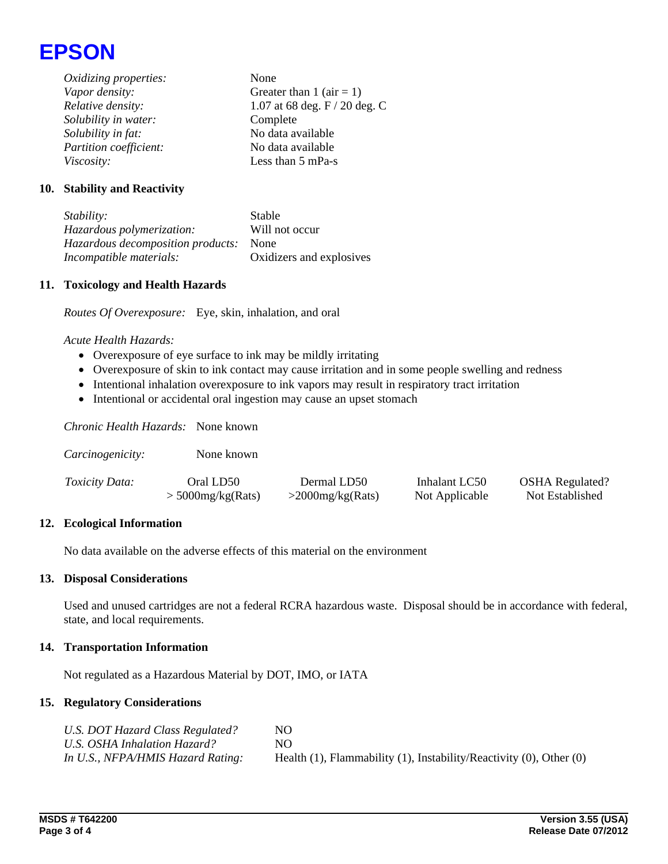

*Oxidizing properties:* None *Vapor density:* Greater than 1 (air = 1) *Relative density:* 1.07 at 68 deg. F / 20 deg. C *Solubility in water:* Complete *Solubility in fat:* No data available *Partition coefficient:* No data available *Viscosity:* Less than 5 mPa-s

## **10. Stability and Reactivity**

*Stability:* Stable *Hazardous polymerization:* Will not occur *Hazardous decomposition products:* None *Incompatible materials:* Oxidizers and explosives

#### **11. Toxicology and Health Hazards**

*Routes Of Overexposure:* Eye, skin, inhalation, and oral

#### *Acute Health Hazards:*

- Overexposure of eye surface to ink may be mildly irritating
- Overexposure of skin to ink contact may cause irritation and in some people swelling and redness
- Intentional inhalation overexposure to ink vapors may result in respiratory tract irritation
- Intentional or accidental oral ingestion may cause an upset stomach

*Chronic Health Hazards:* None known

| Carcinogenicity:      | None known          |                     |                |                        |
|-----------------------|---------------------|---------------------|----------------|------------------------|
| <i>Toxicity Data:</i> | Oral LD50           | Dermal LD50         | Inhalant LC50  | <b>OSHA</b> Regulated? |
|                       | $>$ 5000mg/kg(Rats) | $>$ 2000mg/kg(Rats) | Not Applicable | Not Established        |

#### **12. Ecological Information**

No data available on the adverse effects of this material on the environment

#### **13. Disposal Considerations**

Used and unused cartridges are not a federal RCRA hazardous waste. Disposal should be in accordance with federal, state, and local requirements.

#### **14. Transportation Information**

Not regulated as a Hazardous Material by DOT, IMO, or IATA

#### **15. Regulatory Considerations**

| U.S. DOT Hazard Class Regulated?  | NO.                                                                            |
|-----------------------------------|--------------------------------------------------------------------------------|
| U.S. OSHA Inhalation Hazard?      | NO.                                                                            |
| In U.S., NFPA/HMIS Hazard Rating: | Health $(1)$ , Flammability $(1)$ , Instability/Reactivity $(0)$ , Other $(0)$ |